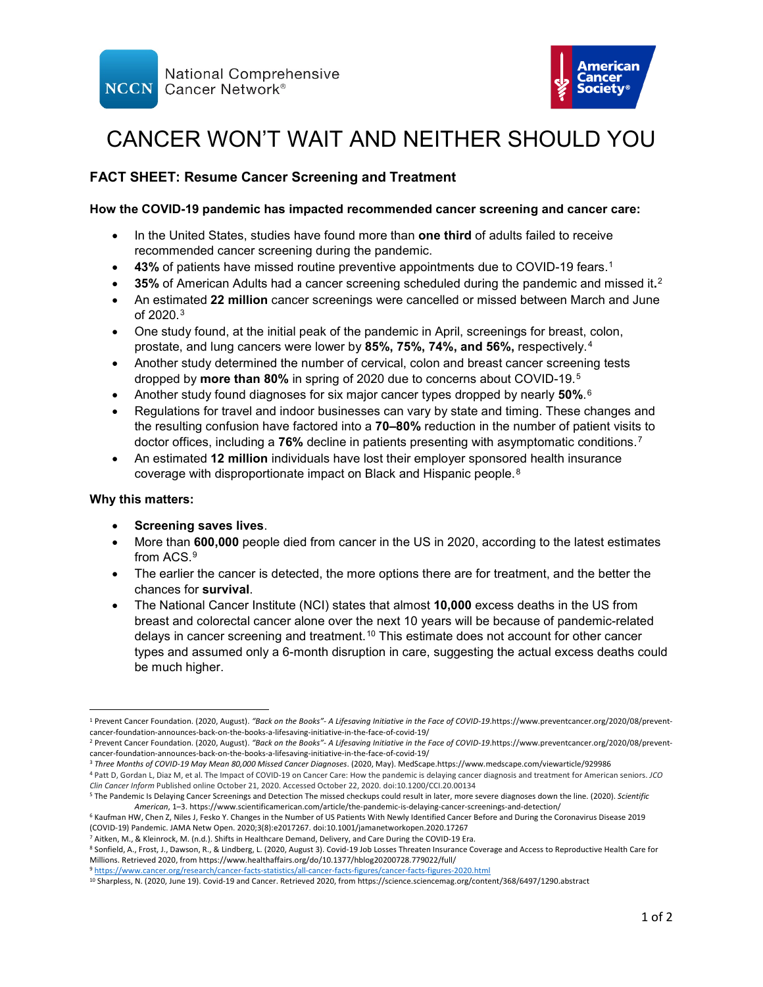



# CANCER WON'T WAIT AND NEITHER SHOULD YOU

# **FACT SHEET: Resume Cancer Screening and Treatment**

## **How the COVID-19 pandemic has impacted recommended cancer screening and cancer care:**

- In the United States, studies have found more than **one third** of adults failed to receive recommended cancer screening during the pandemic.
- 43% of patients have missed routine preventive appointments due to COVID-[1](#page-0-0)9 fears.<sup>1</sup>
- **35%** of American Adults had a cancer screening scheduled during the pandemic and missed it**.**[2](#page-0-1)
- An estimated **22 million** cancer screenings were cancelled or missed between March and June of 2020.[3](#page-0-2)
- One study found, at the initial peak of the pandemic in April, screenings for breast, colon, prostate, and lung cancers were lower by **85%, 75%, 74%, and 56%,** respectively.[4](#page-0-3)
- Another study determined the number of cervical, colon and breast cancer screening tests dropped by **more than 80%** in spring of 2020 due to concerns about COVID-19.[5](#page-0-4)
- Another study found diagnoses for six major cancer types dropped by nearly **50%**.[6](#page-0-5)
- Regulations for travel and indoor businesses can vary by state and timing. These changes and the resulting confusion have factored into a **70–80%** reduction in the number of patient visits to doctor offices, including a **76%** decline in patients presenting with asymptomatic conditions.[7](#page-0-6)
- An estimated **12 million** individuals have lost their employer sponsored health insurance coverage with disproportionate impact on Black and Hispanic people.[8](#page-0-7)

#### **Why this matters:**

- **Screening saves lives**.
- More than **600,000** people died from cancer in the US in 2020, according to the latest estimates from ACS.[9](#page-0-8)
- The earlier the cancer is detected, the more options there are for treatment, and the better the chances for **survival**.
- The National Cancer Institute (NCI) states that almost **10,000** excess deaths in the US from breast and colorectal cancer alone over the next 10 years will be because of pandemic-related delays in cancer screening and treatment.[10](#page-0-9) This estimate does not account for other cancer types and assumed only a 6-month disruption in care, suggesting the actual excess deaths could be much higher.

<span id="page-0-0"></span> <sup>1</sup> Prevent Cancer Foundation. (2020, August). *"Back on the Books"- A Lifesaving Initiative in the Face of COVID-19*.https://www.preventcancer.org/2020/08/preventcancer-foundation-announces-back-on-the-books-a-lifesaving-initiative-in-the-face-of-covid-19/

<span id="page-0-1"></span><sup>2</sup> Prevent Cancer Foundation. (2020, August). *"Back on the Books"- A Lifesaving Initiative in the Face of COVID-19*.https://www.preventcancer.org/2020/08/preventcancer-foundation-announces-back-on-the-books-a-lifesaving-initiative-in-the-face-of-covid-19/

<span id="page-0-2"></span><sup>3</sup> *Three Months of COVID-19 May Mean 80,000 Missed Cancer Diagnoses*. (2020, May). MedScape.https://www.medscape.com/viewarticle/929986

<span id="page-0-3"></span><sup>4</sup> Patt D, Gordan L, Diaz M, et al. The Impact of COVID-19 on Cancer Care: How the pandemic is delaying cancer diagnosis and treatment for American seniors. *JCO Clin Cancer Inform* Published online October 21, 2020. Accessed October 22, 2020. doi:10.1200/CCI.20.00134

<span id="page-0-4"></span><sup>5</sup> The Pandemic Is Delaying Cancer Screenings and Detection The missed checkups could result in later, more severe diagnoses down the line. (2020). *Scientific American*, 1–3. https://www.scientificamerican.com/article/the-pandemic-is-delaying-cancer-screenings-and-detection/

<span id="page-0-5"></span><sup>6</sup> Kaufman HW, Chen Z, Niles J, Fesko Y. Changes in the Number of US Patients With Newly Identified Cancer Before and During the Coronavirus Disease 2019 (COVID-19) Pandemic. JAMA Netw Open. 2020;3(8):e2017267. doi:10.1001/jamanetworkopen.2020.17267

<span id="page-0-7"></span><span id="page-0-6"></span><sup>7</sup> Aitken, M., & Kleinrock, M. (n.d.). Shifts in Healthcare Demand, Delivery, and Care During the COVID-19 Era.

<sup>&</sup>lt;sup>8</sup> Sonfield, A., Frost, J., Dawson, R., & Lindberg, L. (2020, August 3). Covid-19 Job Losses Threaten Insurance Coverage and Access to Reproductive Health Care for Millions. Retrieved 2020, from https://www.healthaffairs.org/do/10.1377/hblog20200728.779022/full/

<span id="page-0-8"></span><sup>9</sup> <https://www.cancer.org/research/cancer-facts-statistics/all-cancer-facts-figures/cancer-facts-figures-2020.html>

<span id="page-0-9"></span><sup>10</sup> Sharpless, N. (2020, June 19). Covid-19 and Cancer. Retrieved 2020, from https://science.sciencemag.org/content/368/6497/1290.abstract